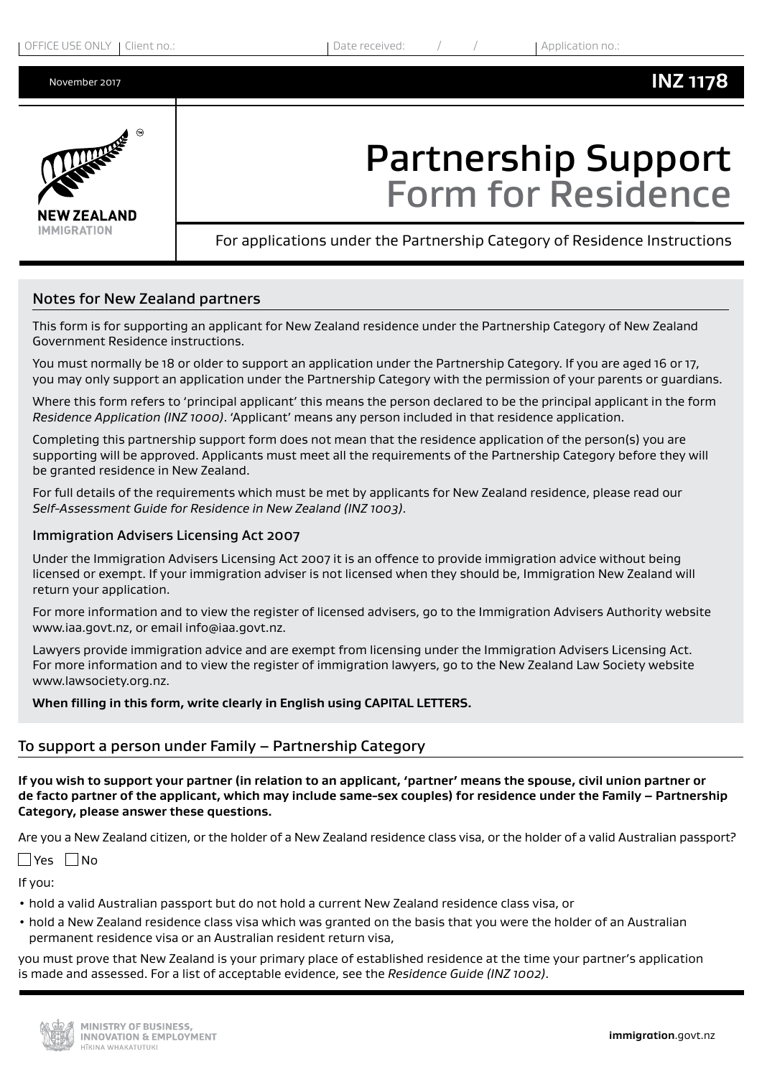

# Partnership Support Form for Residence

For applications under the Partnership Category of Residence Instructions

# Notes for New Zealand partners

This form is for supporting an applicant for New Zealand residence under the Partnership Category of New Zealand Government Residence instructions.

You must normally be 18 or older to support an application under the Partnership Category. If you are aged 16 or 17, you may only support an application under the Partnership Category with the permission of your parents or guardians.

Where this form refers to 'principal applicant' this means the person declared to be the principal applicant in the form *Residence Application (INZ 1000)*. 'Applicant' means any person included in that residence application.

Completing this partnership support form does not mean that the residence application of the person(s) you are supporting will be approved. Applicants must meet all the requirements of the Partnership Category before they will be granted residence in New Zealand.

For full details of the requirements which must be met by applicants for New Zealand residence, please read our *Self-Assessment Guide for Residence in New Zealand (INZ 1003)*.

## Immigration Advisers Licensing Act 2007

Under the Immigration Advisers Licensing Act 2007 it is an offence to provide immigration advice without being licensed or exempt. If your immigration adviser is not licensed when they should be, Immigration New Zealand will return your application.

For more information and to view the register of licensed advisers, go to the Immigration Advisers Authority website www.iaa.govt.nz, or email info@iaa.govt.nz.

Lawyers provide immigration advice and are exempt from licensing under the Immigration Advisers Licensing Act. For more information and to view the register of immigration lawyers, go to the New Zealand Law Society website www.lawsociety.org.nz.

**When filling in this form, write clearly in English using CAPITAL LETTERS.**

# To support a person under Family – Partnership Category

**If you wish to support your partner (in relation to an applicant, 'partner' means the spouse, civil union partner or de facto partner of the applicant, which may include same-sex couples) for residence under the Family – Partnership Category, please answer these questions.**

Are you a New Zealand citizen, or the holder of a New Zealand residence class visa, or the holder of a valid Australian passport?

 $\Box$ Yes  $\Box$ No

If you:

- hold a valid Australian passport but do not hold a current New Zealand residence class visa, or
- hold a New Zealand residence class visa which was granted on the basis that you were the holder of an Australian permanent residence visa or an Australian resident return visa,

you must prove that New Zealand is your primary place of established residence at the time your partner's application is made and assessed. For a list of acceptable evidence, see the *Residence Guide (INZ 1002)*.

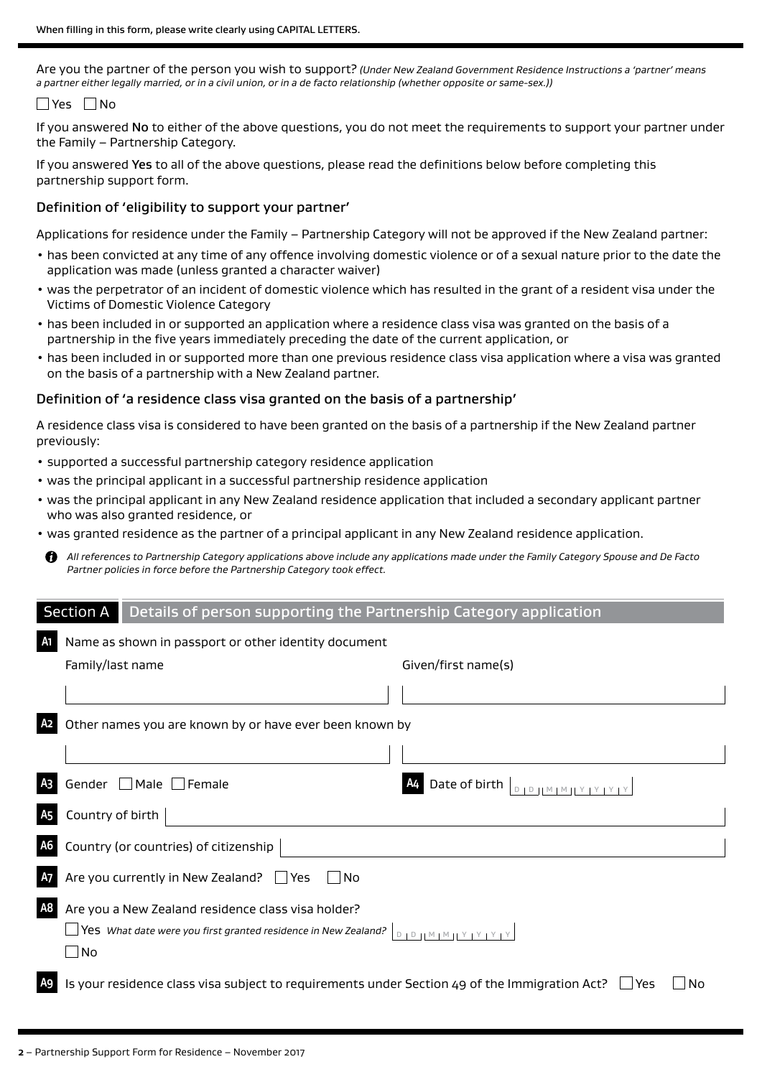Are you the partner of the person you wish to support? *(Under New Zealand Government Residence Instructions a 'partner' means a partner either legally married, or in a civil union, or in a de facto relationship (whether opposite or same-sex.))*

## $\Box$ Yes  $\Box$ No

If you answered No to either of the above questions, you do not meet the requirements to support your partner under the Family – Partnership Category.

If you answered Yes to all of the above questions, please read the definitions below before completing this partnership support form.

## Definition of 'eligibility to support your partner'

Applications for residence under the Family – Partnership Category will not be approved if the New Zealand partner:

- has been convicted at any time of any offence involving domestic violence or of a sexual nature prior to the date the application was made (unless granted a character waiver)
- was the perpetrator of an incident of domestic violence which has resulted in the grant of a resident visa under the Victims of Domestic Violence Category
- has been included in or supported an application where a residence class visa was granted on the basis of a partnership in the five years immediately preceding the date of the current application, or
- has been included in or supported more than one previous residence class visa application where a visa was granted on the basis of a partnership with a New Zealand partner.

## Definition of 'a residence class visa granted on the basis of a partnership'

A residence class visa is considered to have been granted on the basis of a partnership if the New Zealand partner previously:

- supported a successful partnership category residence application
- was the principal applicant in a successful partnership residence application
- was the principal applicant in any New Zealand residence application that included a secondary applicant partner who was also granted residence, or
- was granted residence as the partner of a principal applicant in any New Zealand residence application.
- A *All references to Partnership Category applications above include any applications made under the Family Category Spouse and De Facto Partner policies in force before the Partnership Category took effect.*

|                | Section A<br>Details of person supporting the Partnership Category application                                             |                                 |
|----------------|----------------------------------------------------------------------------------------------------------------------------|---------------------------------|
| A1             | Name as shown in passport or other identity document                                                                       |                                 |
|                | Family/last name                                                                                                           | Given/first name(s)             |
|                |                                                                                                                            |                                 |
|                | Other names you are known by or have ever been known by                                                                    |                                 |
|                |                                                                                                                            |                                 |
| A <sub>3</sub> | Male Female<br>Gender $\Box$                                                                                               | Date of birth $ _{D+D+1M+M+1}$  |
|                | Country of birth                                                                                                           |                                 |
| А6             | Country (or countries) of citizenship                                                                                      |                                 |
|                | Are you currently in New Zealand? □ Yes<br>  INo                                                                           |                                 |
| A8             | Are you a New Zealand residence class visa holder?<br>Yes What date were you first granted residence in New Zealand?<br>No | $D + D + M + M + Y + Y + Y + Y$ |
| A9 I           | Is your residence class visa subject to requirements under Section 49 of the Immigration Act?                              | No<br>Yes                       |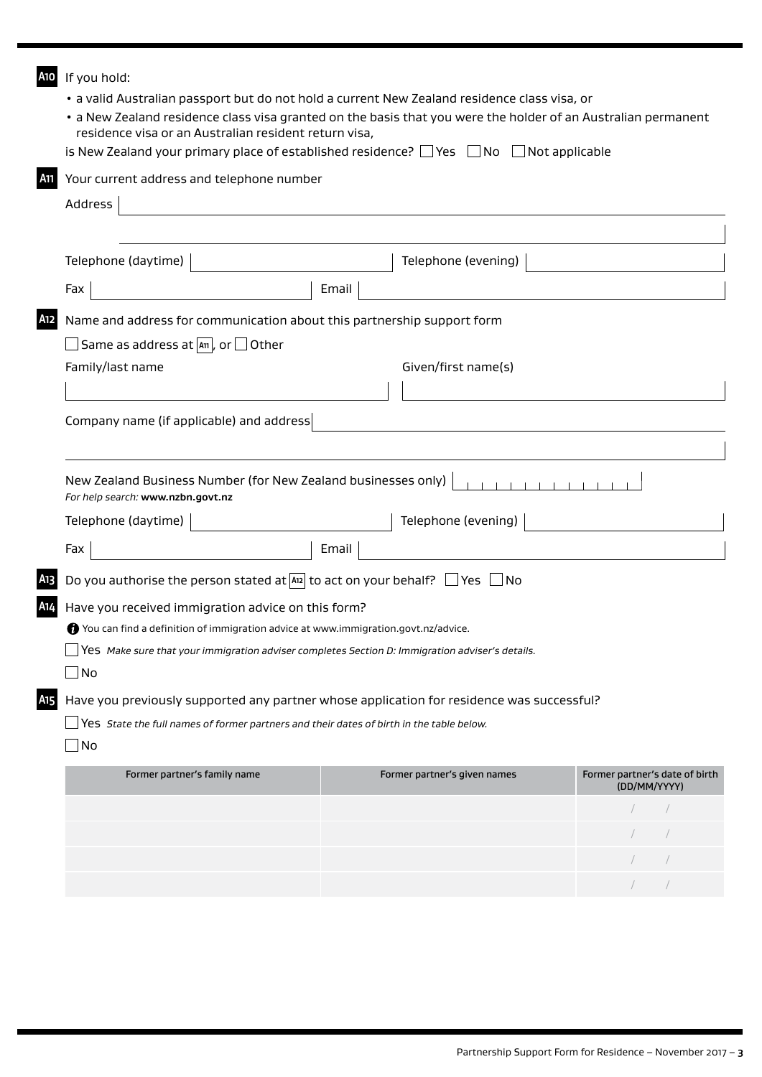| A10             | If you hold:                                                                                       |                                                                                                               |                                                |
|-----------------|----------------------------------------------------------------------------------------------------|---------------------------------------------------------------------------------------------------------------|------------------------------------------------|
|                 |                                                                                                    | · a valid Australian passport but do not hold a current New Zealand residence class visa, or                  |                                                |
|                 | residence visa or an Australian resident return visa,                                              | • a New Zealand residence class visa granted on the basis that you were the holder of an Australian permanent |                                                |
|                 |                                                                                                    | is New Zealand your primary place of established residence? $\Box$ Yes $\Box$ No $\Box$ Not applicable        |                                                |
| A11             | Your current address and telephone number                                                          |                                                                                                               |                                                |
|                 |                                                                                                    |                                                                                                               |                                                |
|                 | Address                                                                                            |                                                                                                               |                                                |
|                 |                                                                                                    |                                                                                                               |                                                |
|                 | Telephone (daytime)                                                                                | Telephone (evening)                                                                                           |                                                |
|                 | Fax                                                                                                | Email                                                                                                         |                                                |
| A12             | Name and address for communication about this partnership support form                             |                                                                                                               |                                                |
|                 | Same as address at $\boxed{An}$ , or $\boxed{\phantom{An} }$ Other                                 |                                                                                                               |                                                |
|                 | Family/last name                                                                                   | Given/first name(s)                                                                                           |                                                |
|                 |                                                                                                    |                                                                                                               |                                                |
|                 | Company name (if applicable) and address                                                           |                                                                                                               |                                                |
|                 |                                                                                                    |                                                                                                               |                                                |
|                 |                                                                                                    |                                                                                                               |                                                |
|                 | New Zealand Business Number (for New Zealand businesses only)<br>For help search: www.nzbn.govt.nz |                                                                                                               |                                                |
|                 | Telephone (daytime)                                                                                | Telephone (evening)                                                                                           |                                                |
|                 | Fax                                                                                                | Email                                                                                                         |                                                |
|                 | Do you authorise the person stated at $A_{12}$ to act on your behalf? $\Box$ Yes $\Box$ No         |                                                                                                               |                                                |
| A14             | Have you received immigration advice on this form?                                                 |                                                                                                               |                                                |
|                 | You can find a definition of immigration advice at www.immigration.govt.nz/advice.                 |                                                                                                               |                                                |
|                 | Yes Make sure that your immigration adviser completes Section D: Immigration adviser's details.    |                                                                                                               |                                                |
|                 | ∫No                                                                                                |                                                                                                               |                                                |
| A <sub>15</sub> |                                                                                                    | Have you previously supported any partner whose application for residence was successful?                     |                                                |
|                 | Yes State the full names of former partners and their dates of birth in the table below.           |                                                                                                               |                                                |
|                 | No                                                                                                 |                                                                                                               |                                                |
|                 | Former partner's family name                                                                       | Former partner's given names                                                                                  | Former partner's date of birth<br>(DD/MM/YYYY) |
|                 |                                                                                                    |                                                                                                               |                                                |
|                 |                                                                                                    |                                                                                                               |                                                |
|                 |                                                                                                    |                                                                                                               |                                                |

/ / / /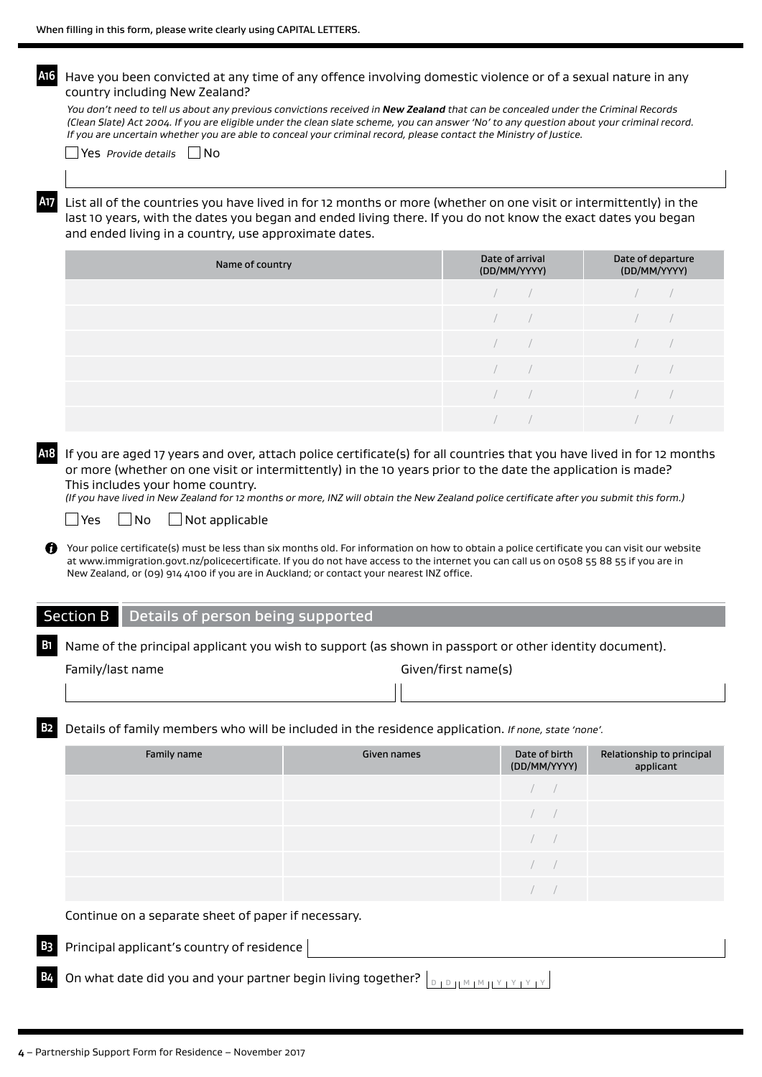**A16** Have you been convicted at any time of any offence involving domestic violence or of a sexual nature in any country including New Zealand?

*You don't need to tell us about any previous convictions received in New Zealand that can be concealed under the Criminal Records (Clean Slate) Act 2004. If you are eligible under the clean slate scheme, you can answer 'No' to any question about your criminal record. If you are uncertain whether you are able to conceal your criminal record, please contact the Ministry of Justice.*

Yes *Provide details* No

**A17** List all of the countries you have lived in for 12 months or more (whether on one visit or intermittently) in the last 10 years, with the dates you began and ended living there. If you do not know the exact dates you began and ended living in a country, use approximate dates.

| Name of country | Date of arrival<br>(DD/MM/YYYY) | Date of departure<br>(DD/MM/YYYY) |
|-----------------|---------------------------------|-----------------------------------|
|                 |                                 |                                   |
|                 | the company of the              |                                   |
|                 | $\sqrt{2}$                      |                                   |
|                 |                                 |                                   |
|                 |                                 |                                   |
|                 |                                 |                                   |

**A18** If you are aged 17 years and over, attach police certificate(s) for all countries that you have lived in for 12 months or more (whether on one visit or intermittently) in the 10 years prior to the date the application is made? This includes your home country.

*(If you have lived in New Zealand for 12 months or more, INZ will obtain the New Zealand police certificate after you submit this form.)*

#### $\Box$  Yes  $\Box$  No  $\Box$  Not applicable

Your police certificate(s) must be less than six months old. For information on how to obtain a police certificate you can visit our website at www.immigration.govt.nz/policecertificate. If you do not have access to the internet you can call us on 0508 55 88 55 if you are in New Zealand, or (09) 914 4100 if you are in Auckland; or contact your nearest INZ office.

#### Section B Details of person being supported

**B1** Name of the principal applicant you wish to support (as shown in passport or other identity document).

|  | amily/last name |  |
|--|-----------------|--|
|--|-----------------|--|

Family/last name Given/first name(s)

**B2** Details of family members who will be included in the residence application. *If none, state 'none'.* 

| Family name                                         | Given names | Date of birth<br>(DD/MM/YYYY) | Relationship to principal<br>applicant |
|-----------------------------------------------------|-------------|-------------------------------|----------------------------------------|
|                                                     |             |                               |                                        |
|                                                     |             |                               |                                        |
|                                                     |             |                               |                                        |
|                                                     |             |                               |                                        |
|                                                     |             |                               |                                        |
| Continue on a separate sheet of paper if necessary. |             |                               |                                        |

- **B3** Principal applicant's country of residence
- **B44** On what date did you and your partner begin living together?  $\vert_{\text{D 1 D 11 M 1 M 11 Y 1 Y 1}}$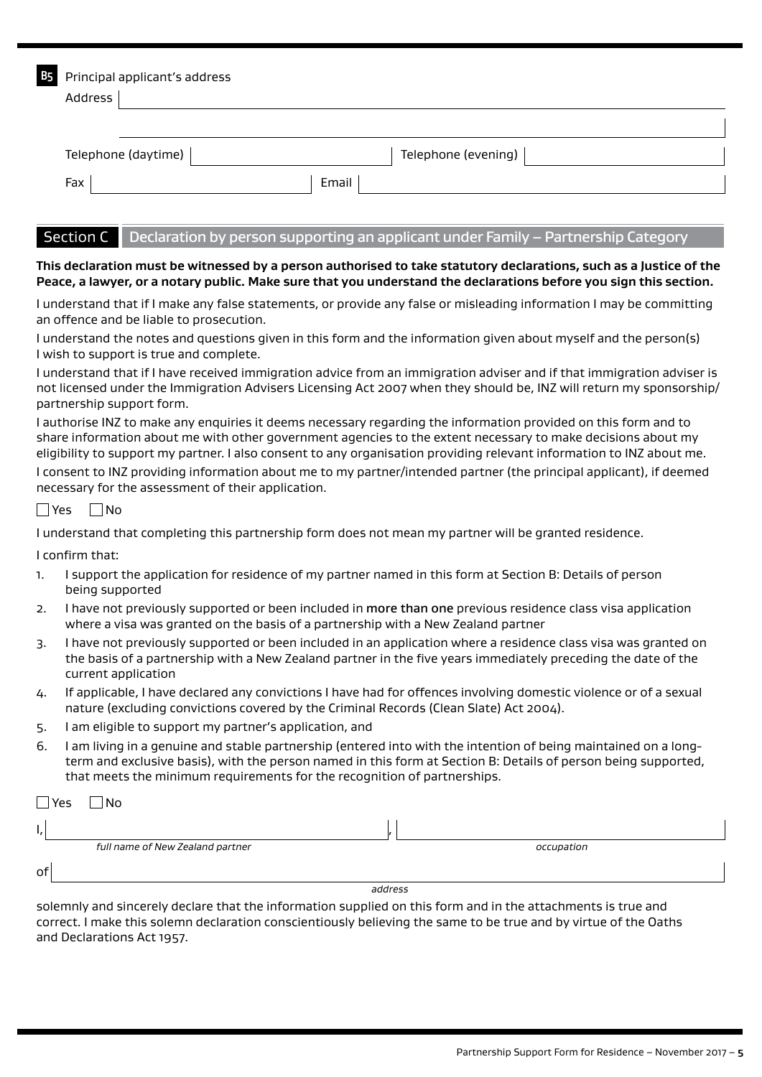| <b>B5</b> | Principal applicant's address |                     |
|-----------|-------------------------------|---------------------|
|           | Address                       |                     |
|           |                               |                     |
|           | Telephone (daytime)           | Telephone (evening) |
|           | Fax<br>Email                  |                     |

## Section C Declaration by person supporting an applicant under Family – Partnership Category

### **This declaration must be witnessed by a person authorised to take statutory declarations, such as a Justice of the Peace, a lawyer, or a notary public. Make sure that you understand the declarations before you sign this section.**

I understand that if I make any false statements, or provide any false or misleading information I may be committing an offence and be liable to prosecution.

I understand the notes and questions given in this form and the information given about myself and the person(s) I wish to support is true and complete.

I understand that if I have received immigration advice from an immigration adviser and if that immigration adviser is not licensed under the Immigration Advisers Licensing Act 2007 when they should be, INZ will return my sponsorship/ partnership support form.

I authorise INZ to make any enquiries it deems necessary regarding the information provided on this form and to share information about me with other government agencies to the extent necessary to make decisions about my eligibility to support my partner. I also consent to any organisation providing relevant information to INZ about me.

I consent to INZ providing information about me to my partner/intended partner (the principal applicant), if deemed necessary for the assessment of their application.

|  | n |
|--|---|
|--|---|

I understand that completing this partnership form does not mean my partner will be granted residence.

I confirm that:

- 1. I support the application for residence of my partner named in this form at Section B: Details of person being supported
- 2. I have not previously supported or been included in more than one previous residence class visa application where a visa was granted on the basis of a partnership with a New Zealand partner
- 3. I have not previously supported or been included in an application where a residence class visa was granted on the basis of a partnership with a New Zealand partner in the five years immediately preceding the date of the current application
- 4. If applicable, I have declared any convictions I have had for offences involving domestic violence or of a sexual nature (excluding convictions covered by the Criminal Records (Clean Slate) Act 2004).
- 5. I am eligible to support my partner's application, and
- 6. I am living in a genuine and stable partnership (entered into with the intention of being maintained on a longterm and exclusive basis), with the person named in this form at Section B: Details of person being supported, that meets the minimum requirements for the recognition of partnerships.

| $\Box$ Yes | No                               |         |            |  |
|------------|----------------------------------|---------|------------|--|
| ъ,         |                                  |         |            |  |
|            | full name of New Zealand partner |         | occupation |  |
| o          |                                  |         |            |  |
|            |                                  | address |            |  |

solemnly and sincerely declare that the information supplied on this form and in the attachments is true and correct. I make this solemn declaration conscientiously believing the same to be true and by virtue of the Oaths and Declarations Act 1957.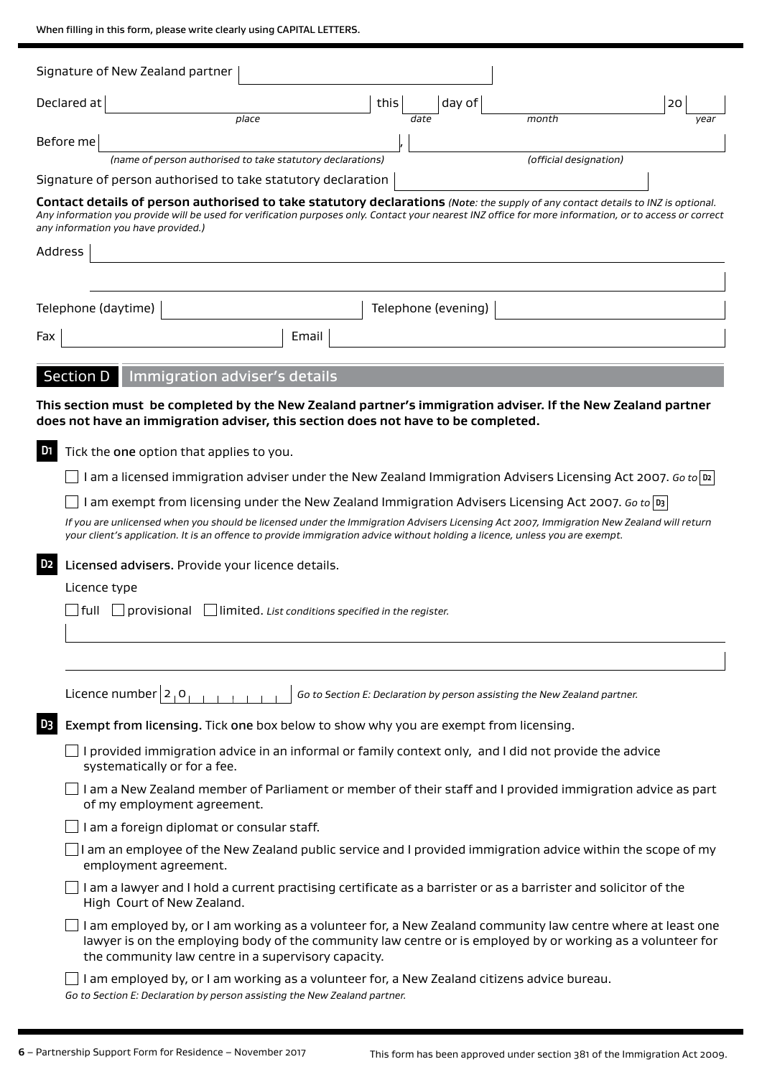When filling in this form, please write clearly using CAPITAL LETTERS.

|                | Signature of New Zealand partner                                                                                                                                                                                                                                                                                                  |                                                            |      |                     |                                                                           |      |
|----------------|-----------------------------------------------------------------------------------------------------------------------------------------------------------------------------------------------------------------------------------------------------------------------------------------------------------------------------------|------------------------------------------------------------|------|---------------------|---------------------------------------------------------------------------|------|
| Declared at    |                                                                                                                                                                                                                                                                                                                                   |                                                            | this | day of              |                                                                           | 20   |
|                |                                                                                                                                                                                                                                                                                                                                   | place                                                      |      | date                | month                                                                     | year |
| Before me      |                                                                                                                                                                                                                                                                                                                                   |                                                            |      |                     |                                                                           |      |
|                | (name of person authorised to take statutory declarations)                                                                                                                                                                                                                                                                        |                                                            |      |                     | (official designation)                                                    |      |
|                | Signature of person authorised to take statutory declaration                                                                                                                                                                                                                                                                      |                                                            |      |                     |                                                                           |      |
|                | Contact details of person authorised to take statutory declarations (Note: the supply of any contact details to INZ is optional.<br>Any information you provide will be used for verification purposes only. Contact your nearest INZ office for more information, or to access or correct<br>any information you have provided.) |                                                            |      |                     |                                                                           |      |
| Address        |                                                                                                                                                                                                                                                                                                                                   |                                                            |      |                     |                                                                           |      |
|                |                                                                                                                                                                                                                                                                                                                                   |                                                            |      |                     |                                                                           |      |
|                | Telephone (daytime)                                                                                                                                                                                                                                                                                                               |                                                            |      | Telephone (evening) |                                                                           |      |
| Fax            |                                                                                                                                                                                                                                                                                                                                   | Email                                                      |      |                     |                                                                           |      |
|                |                                                                                                                                                                                                                                                                                                                                   |                                                            |      |                     |                                                                           |      |
|                | <b>Section D</b><br>Immigration adviser's details                                                                                                                                                                                                                                                                                 |                                                            |      |                     |                                                                           |      |
|                | This section must be completed by the New Zealand partner's immigration adviser. If the New Zealand partner<br>does not have an immigration adviser, this section does not have to be completed.                                                                                                                                  |                                                            |      |                     |                                                                           |      |
| D <sub>1</sub> | Tick the one option that applies to you.                                                                                                                                                                                                                                                                                          |                                                            |      |                     |                                                                           |      |
|                | I am a licensed immigration adviser under the New Zealand Immigration Advisers Licensing Act 2007. Go to $ v $                                                                                                                                                                                                                    |                                                            |      |                     |                                                                           |      |
|                | I am exempt from licensing under the New Zealand Immigration Advisers Licensing Act 2007. Go to  D3                                                                                                                                                                                                                               |                                                            |      |                     |                                                                           |      |
|                | If you are unlicensed when you should be licensed under the Immigration Advisers Licensing Act 2007, Immigration New Zealand will return<br>your client's application. It is an offence to provide immigration advice without holding a licence, unless you are exempt.                                                           |                                                            |      |                     |                                                                           |      |
| D <sub>2</sub> | Licensed advisers. Provide your licence details.                                                                                                                                                                                                                                                                                  |                                                            |      |                     |                                                                           |      |
|                | Licence type                                                                                                                                                                                                                                                                                                                      |                                                            |      |                     |                                                                           |      |
|                | full<br>provisional                                                                                                                                                                                                                                                                                                               | $\Box$ limited. List conditions specified in the register. |      |                     |                                                                           |      |
|                |                                                                                                                                                                                                                                                                                                                                   |                                                            |      |                     |                                                                           |      |
|                |                                                                                                                                                                                                                                                                                                                                   |                                                            |      |                     |                                                                           |      |
|                |                                                                                                                                                                                                                                                                                                                                   |                                                            |      |                     |                                                                           |      |
|                | Licence number $2, 0,$                                                                                                                                                                                                                                                                                                            |                                                            |      |                     | Go to Section E: Declaration by person assisting the New Zealand partner. |      |
| D <sub>3</sub> | Exempt from licensing. Tick one box below to show why you are exempt from licensing.                                                                                                                                                                                                                                              |                                                            |      |                     |                                                                           |      |
|                | I provided immigration advice in an informal or family context only, and I did not provide the advice<br>systematically or for a fee.                                                                                                                                                                                             |                                                            |      |                     |                                                                           |      |
|                | I am a New Zealand member of Parliament or member of their staff and I provided immigration advice as part<br>of my employment agreement.                                                                                                                                                                                         |                                                            |      |                     |                                                                           |      |
|                | I am a foreign diplomat or consular staff.                                                                                                                                                                                                                                                                                        |                                                            |      |                     |                                                                           |      |
|                | I am an employee of the New Zealand public service and I provided immigration advice within the scope of my<br>employment agreement.                                                                                                                                                                                              |                                                            |      |                     |                                                                           |      |
|                | I am a lawyer and I hold a current practising certificate as a barrister or as a barrister and solicitor of the<br>High Court of New Zealand.                                                                                                                                                                                     |                                                            |      |                     |                                                                           |      |
|                | I am employed by, or I am working as a volunteer for, a New Zealand community law centre where at least one<br>lawyer is on the employing body of the community law centre or is employed by or working as a volunteer for<br>the community law centre in a supervisory capacity.                                                 |                                                            |      |                     |                                                                           |      |
|                | I am employed by, or I am working as a volunteer for, a New Zealand citizens advice bureau.<br>Go to Section E: Declaration by person assisting the New Zealand partner.                                                                                                                                                          |                                                            |      |                     |                                                                           |      |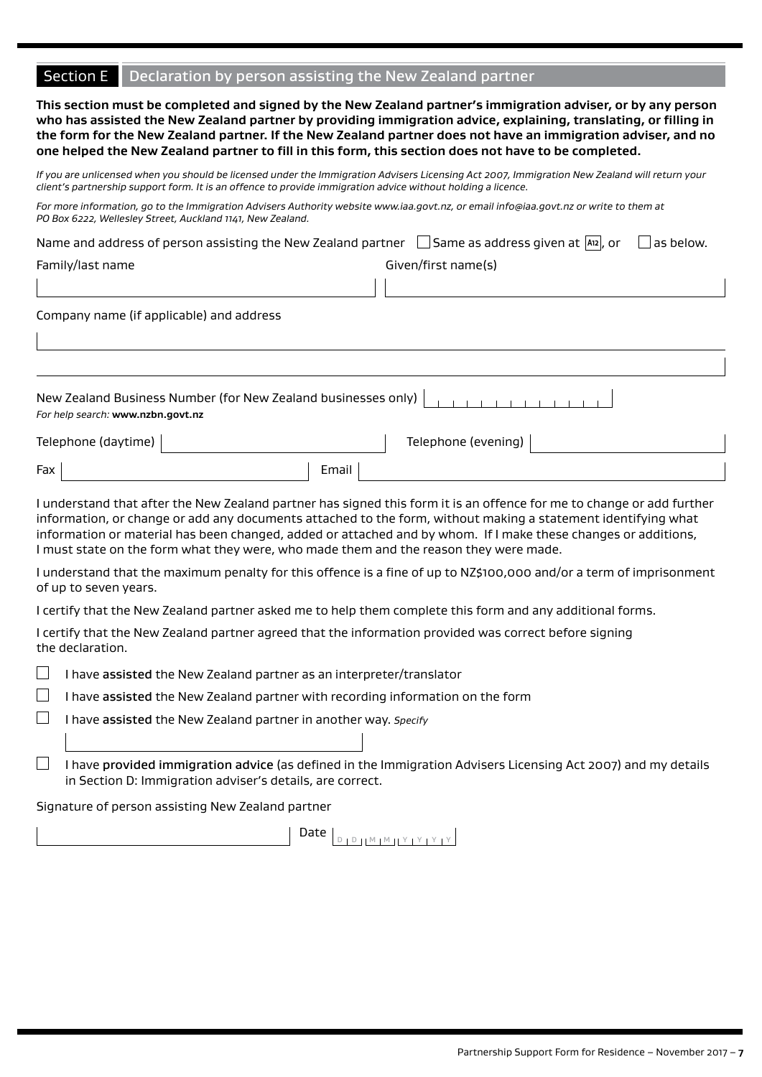## Section E Declaration by person assisting the New Zealand partner

**This section must be completed and signed by the New Zealand partner's immigration adviser, or by any person who has assisted the New Zealand partner by providing immigration advice, explaining, translating, or filling in the form for the New Zealand partner. If the New Zealand partner does not have an immigration adviser, and no one helped the New Zealand partner to fill in this form, this section does not have to be completed.**

*If you are unlicensed when you should be licensed under the Immigration Advisers Licensing Act 2007, Immigration New Zealand will return your client's partnership support form. It is an offence to provide immigration advice without holding a licence.*

*For more information, go to the Immigration Advisers Authority website www.iaa.govt.nz, or email info@iaa.govt.nz or write to them at PO Box 6222, Wellesley Street, Auckland 1141, New Zealand.*

| Name and address of person assisting the New Zealand partner $\Box$ Same as address given at $\Box$ , or | $\vert$ as below.   |
|----------------------------------------------------------------------------------------------------------|---------------------|
| Family/last name                                                                                         | Given/first name(s) |
|                                                                                                          |                     |
| Company name (if applicable) and address                                                                 |                     |
|                                                                                                          |                     |

| New Zealand Business Number (for New Zealand businesses only) $\left  \begin{array}{c} \hline \end{array} \right $<br>For help search: www.nzbn.govt.nz |       |                     |  |  |
|---------------------------------------------------------------------------------------------------------------------------------------------------------|-------|---------------------|--|--|
| Telephone (daytime)                                                                                                                                     |       | Telephone (evening) |  |  |
| Fax                                                                                                                                                     | Email |                     |  |  |

I understand that after the New Zealand partner has signed this form it is an offence for me to change or add further information, or change or add any documents attached to the form, without making a statement identifying what information or material has been changed, added or attached and by whom. If I make these changes or additions, I must state on the form what they were, who made them and the reason they were made.

I understand that the maximum penalty for this offence is a fine of up to NZ\$100,000 and/or a term of imprisonment of up to seven years.

I certify that the New Zealand partner asked me to help them complete this form and any additional forms.

I certify that the New Zealand partner agreed that the information provided was correct before signing the declaration.

 $\overline{\phantom{a}}$ I have assisted the New Zealand partner as an interpreter/translator

I have assisted the New Zealand partner with recording information on the form

 $\Box$ I have assisted the New Zealand partner in another way. *Specify*

| I have provided immigration advice (as defined in the Immigration Advisers Licensing Act 2007) and my details |
|---------------------------------------------------------------------------------------------------------------|
| in Section D: Immigration adviser's details, are correct.                                                     |

Signature of person assisting New Zealand partner

Date <sup>D</sup> <sup>D</sup> <sup>M</sup> <sup>M</sup> <sup>Y</sup> <sup>Y</sup> <sup>Y</sup> <sup>Y</sup>